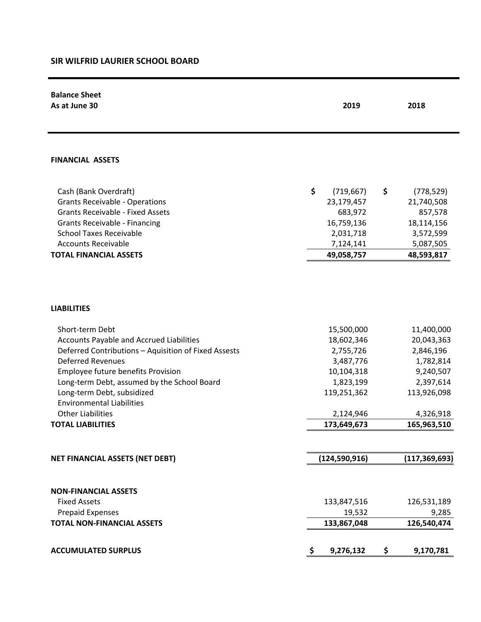## **SIR WILFRID LAURIER SCHOOL BOARD**

| <b>Balance Sheet</b><br>As at June 30                                                                                                                                                                                                                                                                                                                                 | 2019                                                                                                                     | 2018                                                                                                                    |
|-----------------------------------------------------------------------------------------------------------------------------------------------------------------------------------------------------------------------------------------------------------------------------------------------------------------------------------------------------------------------|--------------------------------------------------------------------------------------------------------------------------|-------------------------------------------------------------------------------------------------------------------------|
| <b>FINANCIAL ASSETS</b>                                                                                                                                                                                                                                                                                                                                               |                                                                                                                          |                                                                                                                         |
| Cash (Bank Overdraft)<br><b>Grants Receivable - Operations</b><br><b>Grants Receivable - Fixed Assets</b><br>Grants Receivable - Financing<br><b>School Taxes Receivable</b><br><b>Accounts Receivable</b><br><b>TOTAL FINANCIAL ASSETS</b>                                                                                                                           | \$<br>(719, 667)<br>23,179,457<br>683,972<br>16,759,136<br>2,031,718<br>7,124,141<br>49,058,757                          | \$<br>(778, 529)<br>21,740,508<br>857,578<br>18,114,156<br>3,572,599<br>5,087,505<br>48,593,817                         |
| <b>LIABILITIES</b>                                                                                                                                                                                                                                                                                                                                                    |                                                                                                                          |                                                                                                                         |
| Short-term Debt<br><b>Accounts Payable and Accrued Liabilities</b><br>Deferred Contributions - Aquisition of Fixed Assests<br><b>Deferred Revenues</b><br>Employee future benefits Provision<br>Long-term Debt, assumed by the School Board<br>Long-term Debt, subsidized<br><b>Environmental Liabilities</b><br><b>Other Liabilities</b><br><b>TOTAL LIABILITIES</b> | 15,500,000<br>18,602,346<br>2,755,726<br>3,487,776<br>10,104,318<br>1,823,199<br>119,251,362<br>2,124,946<br>173,649,673 | 11,400,000<br>20,043,363<br>2,846,196<br>1,782,814<br>9,240,507<br>2,397,614<br>113,926,098<br>4,326,918<br>165,963,510 |
| <b>NET FINANCIAL ASSETS (NET DEBT)</b>                                                                                                                                                                                                                                                                                                                                | (124, 590, 916)                                                                                                          | (117, 369, 693)                                                                                                         |
| <b>NON-FINANCIAL ASSETS</b><br><b>Fixed Assets</b><br><b>Prepaid Expenses</b><br><b>TOTAL NON-FINANCIAL ASSETS</b>                                                                                                                                                                                                                                                    | 133,847,516<br>19,532<br>133,867,048                                                                                     | 126,531,189<br>9,285<br>126,540,474                                                                                     |
| <b>ACCUMULATED SURPLUS</b>                                                                                                                                                                                                                                                                                                                                            | 9,276,132<br>-\$                                                                                                         | \$<br>9,170,781                                                                                                         |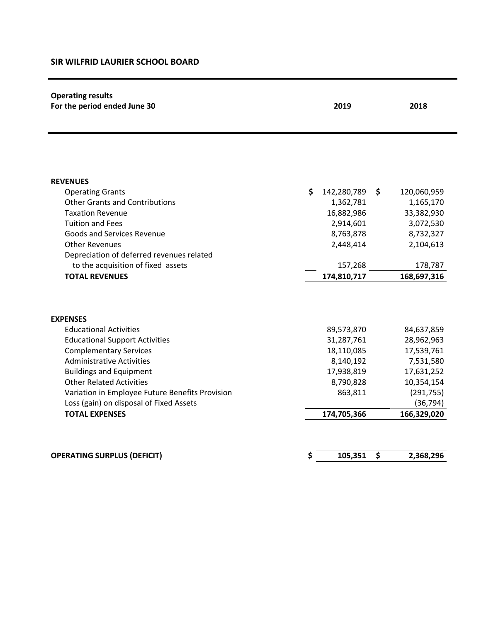## **SIR WILFRID LAURIER SCHOOL BOARD**

| <b>Operating results</b><br>For the period ended June 30 | 2019              |               | 2018        |  |
|----------------------------------------------------------|-------------------|---------------|-------------|--|
|                                                          |                   |               |             |  |
| <b>REVENUES</b>                                          |                   |               |             |  |
| <b>Operating Grants</b>                                  | \$<br>142,280,789 | \$            | 120,060,959 |  |
| <b>Other Grants and Contributions</b>                    |                   | 1,362,781     | 1,165,170   |  |
| <b>Taxation Revenue</b>                                  |                   | 16,882,986    | 33,382,930  |  |
| <b>Tuition and Fees</b>                                  |                   | 2,914,601     | 3,072,530   |  |
| Goods and Services Revenue                               |                   | 8,763,878     | 8,732,327   |  |
| <b>Other Revenues</b>                                    |                   | 2,448,414     | 2,104,613   |  |
| Depreciation of deferred revenues related                |                   |               |             |  |
| to the acquisition of fixed assets                       |                   | 157,268       | 178,787     |  |
| <b>TOTAL REVENUES</b>                                    | 174,810,717       |               | 168,697,316 |  |
| <b>EXPENSES</b>                                          |                   |               |             |  |
| <b>Educational Activities</b>                            |                   | 89,573,870    | 84,637,859  |  |
| <b>Educational Support Activities</b>                    |                   | 31,287,761    | 28,962,963  |  |
| <b>Complementary Services</b>                            |                   | 18,110,085    | 17,539,761  |  |
| <b>Administrative Activities</b>                         |                   | 8,140,192     | 7,531,580   |  |
| <b>Buildings and Equipment</b>                           |                   | 17,938,819    | 17,631,252  |  |
| <b>Other Related Activities</b>                          |                   | 8,790,828     | 10,354,154  |  |
| Variation in Employee Future Benefits Provision          |                   | 863,811       | (291, 755)  |  |
| Loss (gain) on disposal of Fixed Assets                  |                   |               | (36, 794)   |  |
| <b>TOTAL EXPENSES</b>                                    | 174,705,366       |               | 166,329,020 |  |
|                                                          |                   |               |             |  |
| <b>OPERATING SURPLUS (DEFICIT)</b>                       | \$                | 105,351<br>\$ | 2,368,296   |  |